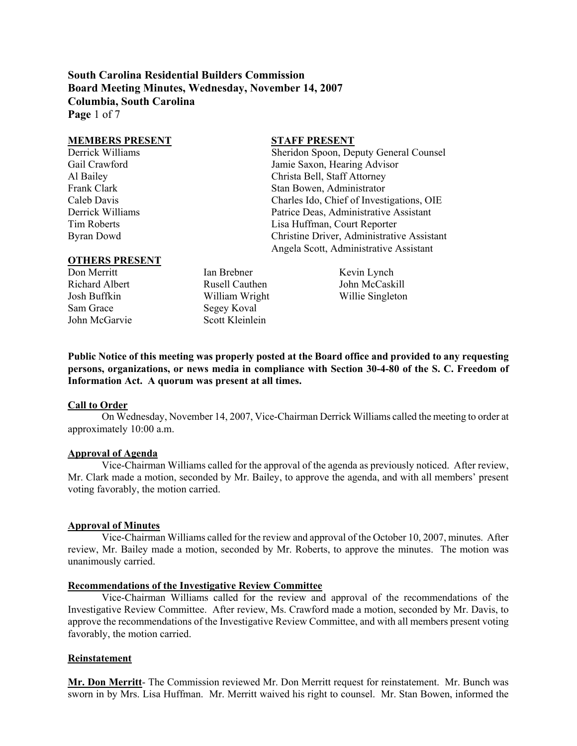**South Carolina Residential Builders Commission Board Meeting Minutes, Wednesday, November 14, 2007 Columbia, South Carolina Page** 1 of 7

#### **MEMBERS PRESENT STAFF PRESENT**

## **OTHERS PRESENT**

Sam Grace Segey Koval John McGarvie Scott Kleinlein

Derrick Williams Sheridon Spoon, Deputy General Counsel Gail Crawford Jamie Saxon, Hearing Advisor Al Bailey Christa Bell, Staff Attorney Frank Clark **Stan Bowen, Administrator** Caleb Davis Charles Ido, Chief of Investigations, OIE Derrick Williams Patrice Deas, Administrative Assistant Tim Roberts Lisa Huffman, Court Reporter Byran Dowd Christine Driver, Administrative Assistant Angela Scott, Administrative Assistant

Don Merritt Ian Brebner Kevin Lynch Richard Albert **Rusell Cauthen** John McCaskill Josh Buffkin William Wright Willie Singleton

**Public Notice of this meeting was properly posted at the Board office and provided to any requesting persons, organizations, or news media in compliance with Section 30-4-80 of the S. C. Freedom of Information Act. A quorum was present at all times.** 

#### **Call to Order**

On Wednesday, November 14, 2007, Vice-Chairman Derrick Williams called the meeting to order at approximately 10:00 a.m.

#### **Approval of Agenda**

Vice-Chairman Williams called for the approval of the agenda as previously noticed. After review, Mr. Clark made a motion, seconded by Mr. Bailey, to approve the agenda, and with all members' present voting favorably, the motion carried.

#### **Approval of Minutes**

Vice-Chairman Williams called for the review and approval of the October 10, 2007, minutes. After review, Mr. Bailey made a motion, seconded by Mr. Roberts, to approve the minutes. The motion was unanimously carried.

## **Recommendations of the Investigative Review Committee**

Vice-Chairman Williams called for the review and approval of the recommendations of the Investigative Review Committee. After review, Ms. Crawford made a motion, seconded by Mr. Davis, to approve the recommendations of the Investigative Review Committee, and with all members present voting favorably, the motion carried.

## **Reinstatement**

**Mr. Don Merritt**- The Commission reviewed Mr. Don Merritt request for reinstatement.Mr. Bunch was sworn in by Mrs. Lisa Huffman. Mr. Merritt waived his right to counsel. Mr. Stan Bowen, informed the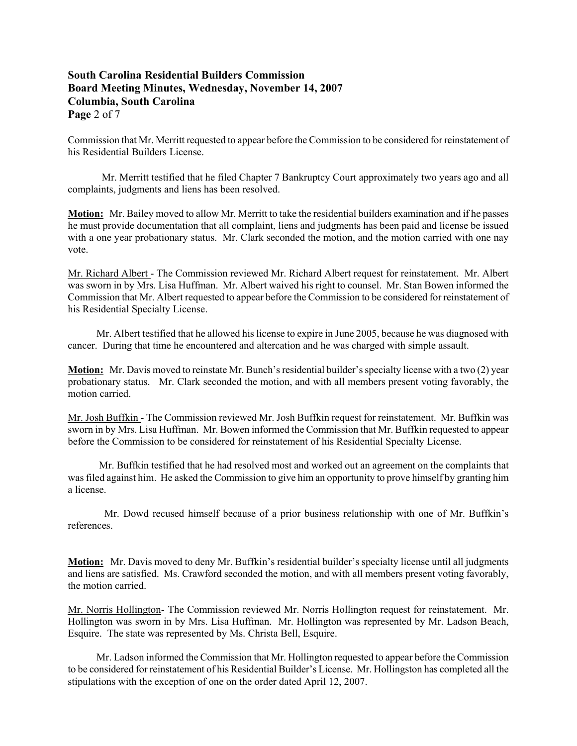# **South Carolina Residential Builders Commission Board Meeting Minutes, Wednesday, November 14, 2007 Columbia, South Carolina Page** 2 of 7

Commission that Mr. Merritt requested to appear before the Commission to be considered for reinstatement of his Residential Builders License.

Mr. Merritt testified that he filed Chapter 7 Bankruptcy Court approximately two years ago and all complaints, judgments and liens has been resolved.

**Motion:** Mr. Bailey moved to allow Mr. Merritt to take the residential builders examination and if he passes he must provide documentation that all complaint, liens and judgments has been paid and license be issued with a one year probationary status. Mr. Clark seconded the motion, and the motion carried with one nay vote.

Mr. Richard Albert - The Commission reviewed Mr. Richard Albert request for reinstatement. Mr. Albert was sworn in by Mrs. Lisa Huffman. Mr. Albert waived his right to counsel. Mr. Stan Bowen informed the Commission that Mr. Albert requested to appear before the Commission to be considered for reinstatement of his Residential Specialty License.

 Mr. Albert testified that he allowed his license to expire in June 2005, because he was diagnosed with cancer. During that time he encountered and altercation and he was charged with simple assault.

**Motion:** Mr. Davis moved to reinstate Mr. Bunch's residential builder's specialty license with a two (2) year probationary status. Mr. Clark seconded the motion, and with all members present voting favorably, the motion carried.

Mr. Josh Buffkin - The Commission reviewed Mr. Josh Buffkin request for reinstatement. Mr. Buffkin was sworn in by Mrs. Lisa Huffman. Mr. Bowen informed the Commission that Mr. Buffkin requested to appear before the Commission to be considered for reinstatement of his Residential Specialty License.

 Mr. Buffkin testified that he had resolved most and worked out an agreement on the complaints that was filed against him. He asked the Commission to give him an opportunity to prove himself by granting him a license.

 Mr. Dowd recused himself because of a prior business relationship with one of Mr. Buffkin's references.

**Motion:** Mr. Davis moved to deny Mr. Buffkin's residential builder's specialty license until all judgments and liens are satisfied. Ms. Crawford seconded the motion, and with all members present voting favorably, the motion carried.

Mr. Norris Hollington- The Commission reviewed Mr. Norris Hollington request for reinstatement. Mr. Hollington was sworn in by Mrs. Lisa Huffman. Mr. Hollington was represented by Mr. Ladson Beach, Esquire. The state was represented by Ms. Christa Bell, Esquire.

 Mr. Ladson informed the Commission that Mr. Hollington requested to appear before the Commission to be considered for reinstatement of his Residential Builder's License. Mr. Hollingston has completed all the stipulations with the exception of one on the order dated April 12, 2007.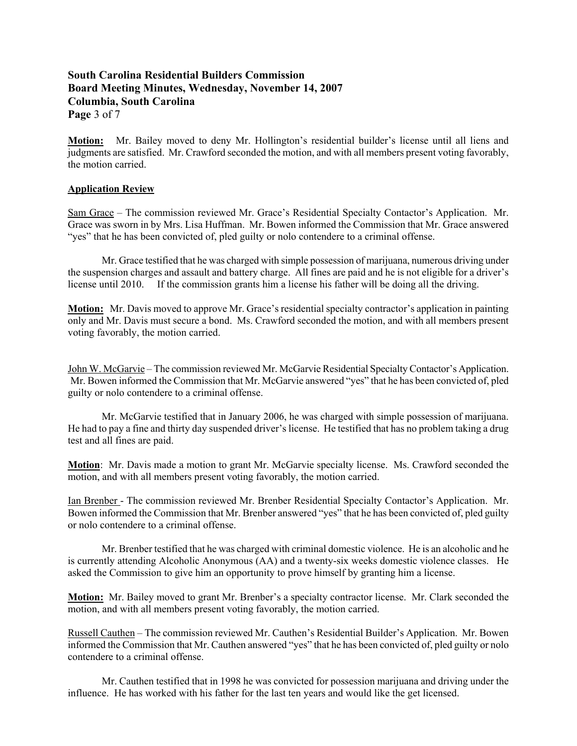# **South Carolina Residential Builders Commission Board Meeting Minutes, Wednesday, November 14, 2007 Columbia, South Carolina Page** 3 of 7

**Motion:** Mr. Bailey moved to deny Mr. Hollington's residential builder's license until all liens and judgments are satisfied. Mr. Crawford seconded the motion, and with all members present voting favorably, the motion carried.

# **Application Review**

Sam Grace – The commission reviewed Mr. Grace's Residential Specialty Contactor's Application. Mr. Grace was sworn in by Mrs. Lisa Huffman. Mr. Bowen informed the Commission that Mr. Grace answered "yes" that he has been convicted of, pled guilty or nolo contendere to a criminal offense.

Mr. Grace testified that he was charged with simple possession of marijuana, numerous driving under the suspension charges and assault and battery charge. All fines are paid and he is not eligible for a driver's license until 2010. If the commission grants him a license his father will be doing all the driving.

**Motion:** Mr. Davis moved to approve Mr. Grace's residential specialty contractor's application in painting only and Mr. Davis must secure a bond. Ms. Crawford seconded the motion, and with all members present voting favorably, the motion carried.

John W. McGarvie – The commission reviewed Mr. McGarvie Residential Specialty Contactor's Application. Mr. Bowen informed the Commission that Mr. McGarvie answered "yes" that he has been convicted of, pled guilty or nolo contendere to a criminal offense.

Mr. McGarvie testified that in January 2006, he was charged with simple possession of marijuana. He had to pay a fine and thirty day suspended driver's license. He testified that has no problem taking a drug test and all fines are paid.

**Motion**: Mr. Davis made a motion to grant Mr. McGarvie specialty license. Ms. Crawford seconded the motion, and with all members present voting favorably, the motion carried.

Ian Brenber - The commission reviewed Mr. Brenber Residential Specialty Contactor's Application. Mr. Bowen informed the Commission that Mr. Brenber answered "yes" that he has been convicted of, pled guilty or nolo contendere to a criminal offense.

Mr. Brenber testified that he was charged with criminal domestic violence. He is an alcoholic and he is currently attending Alcoholic Anonymous (AA) and a twenty-six weeks domestic violence classes. He asked the Commission to give him an opportunity to prove himself by granting him a license.

**Motion:** Mr. Bailey moved to grant Mr. Brenber's a specialty contractor license. Mr. Clark seconded the motion, and with all members present voting favorably, the motion carried.

Russell Cauthen – The commission reviewed Mr. Cauthen's Residential Builder's Application. Mr. Bowen informed the Commission that Mr. Cauthen answered "yes" that he has been convicted of, pled guilty or nolo contendere to a criminal offense.

Mr. Cauthen testified that in 1998 he was convicted for possession marijuana and driving under the influence. He has worked with his father for the last ten years and would like the get licensed.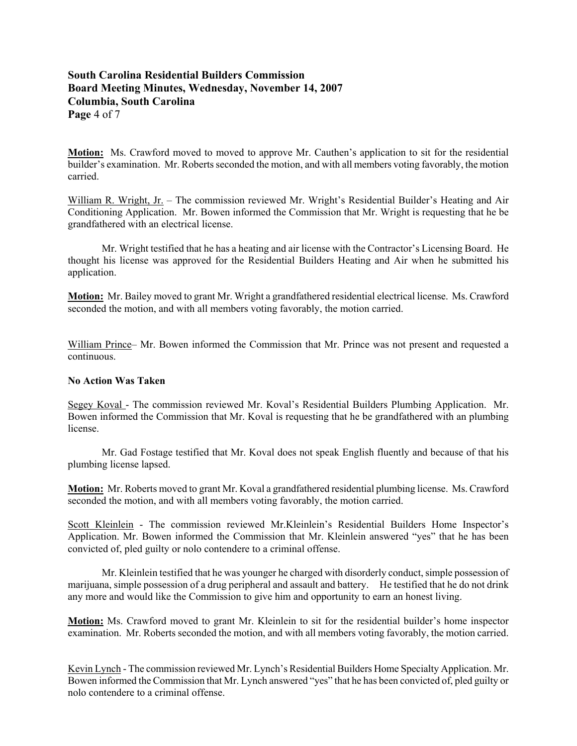# **South Carolina Residential Builders Commission Board Meeting Minutes, Wednesday, November 14, 2007 Columbia, South Carolina Page** 4 of 7

**Motion:** Ms. Crawford moved to moved to approve Mr. Cauthen's application to sit for the residential builder's examination. Mr. Roberts seconded the motion, and with all members voting favorably, the motion carried.

William R. Wright, Jr. – The commission reviewed Mr. Wright's Residential Builder's Heating and Air Conditioning Application. Mr. Bowen informed the Commission that Mr. Wright is requesting that he be grandfathered with an electrical license.

Mr. Wright testified that he has a heating and air license with the Contractor's Licensing Board. He thought his license was approved for the Residential Builders Heating and Air when he submitted his application.

**Motion:** Mr. Bailey moved to grant Mr. Wright a grandfathered residential electrical license. Ms. Crawford seconded the motion, and with all members voting favorably, the motion carried.

William Prince– Mr. Bowen informed the Commission that Mr. Prince was not present and requested a continuous.

## **No Action Was Taken**

Segey Koval - The commission reviewed Mr. Koval's Residential Builders Plumbing Application. Mr. Bowen informed the Commission that Mr. Koval is requesting that he be grandfathered with an plumbing license.

Mr. Gad Fostage testified that Mr. Koval does not speak English fluently and because of that his plumbing license lapsed.

**Motion:** Mr. Roberts moved to grant Mr. Koval a grandfathered residential plumbing license. Ms. Crawford seconded the motion, and with all members voting favorably, the motion carried.

Scott Kleinlein - The commission reviewed Mr.Kleinlein's Residential Builders Home Inspector's Application. Mr. Bowen informed the Commission that Mr. Kleinlein answered "yes" that he has been convicted of, pled guilty or nolo contendere to a criminal offense.

Mr. Kleinlein testified that he was younger he charged with disorderly conduct, simple possession of marijuana, simple possession of a drug peripheral and assault and battery. He testified that he do not drink any more and would like the Commission to give him and opportunity to earn an honest living.

**Motion:** Ms. Crawford moved to grant Mr. Kleinlein to sit for the residential builder's home inspector examination. Mr. Roberts seconded the motion, and with all members voting favorably, the motion carried.

Kevin Lynch - The commission reviewed Mr. Lynch's Residential Builders Home Specialty Application. Mr. Bowen informed the Commission that Mr. Lynch answered "yes" that he has been convicted of, pled guilty or nolo contendere to a criminal offense.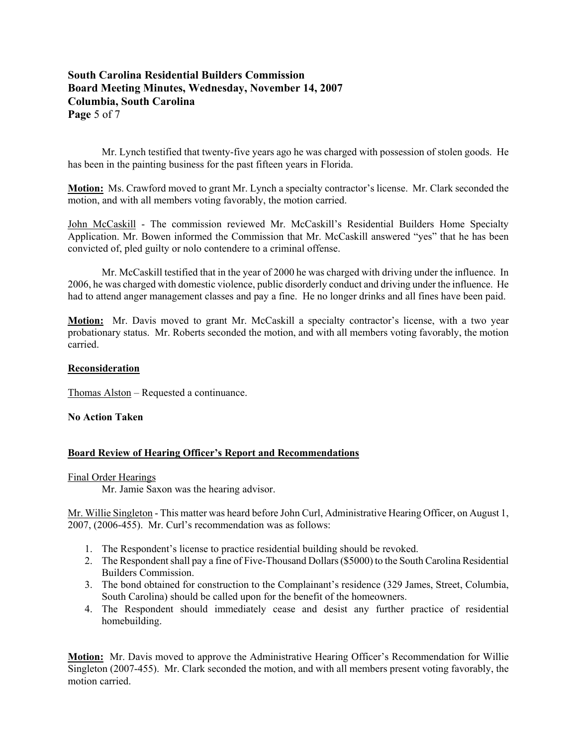# **South Carolina Residential Builders Commission Board Meeting Minutes, Wednesday, November 14, 2007 Columbia, South Carolina Page** 5 of 7

Mr. Lynch testified that twenty-five years ago he was charged with possession of stolen goods. He has been in the painting business for the past fifteen years in Florida.

**Motion:** Ms. Crawford moved to grant Mr. Lynch a specialty contractor's license. Mr. Clark seconded the motion, and with all members voting favorably, the motion carried.

John McCaskill - The commission reviewed Mr. McCaskill's Residential Builders Home Specialty Application. Mr. Bowen informed the Commission that Mr. McCaskill answered "yes" that he has been convicted of, pled guilty or nolo contendere to a criminal offense.

Mr. McCaskill testified that in the year of 2000 he was charged with driving under the influence. In 2006, he was charged with domestic violence, public disorderly conduct and driving under the influence. He had to attend anger management classes and pay a fine. He no longer drinks and all fines have been paid.

**Motion:** Mr. Davis moved to grant Mr. McCaskill a specialty contractor's license, with a two year probationary status. Mr. Roberts seconded the motion, and with all members voting favorably, the motion carried.

## **Reconsideration**

Thomas Alston – Requested a continuance.

# **No Action Taken**

# **Board Review of Hearing Officer's Report and Recommendations**

## Final Order Hearings

Mr. Jamie Saxon was the hearing advisor.

Mr. Willie Singleton - This matter was heard before John Curl, Administrative Hearing Officer, on August 1, 2007, (2006-455). Mr. Curl's recommendation was as follows:

- 1. The Respondent's license to practice residential building should be revoked.
- 2. The Respondent shall pay a fine of Five-Thousand Dollars (\$5000) to the South Carolina Residential Builders Commission.
- 3. The bond obtained for construction to the Complainant's residence (329 James, Street, Columbia, South Carolina) should be called upon for the benefit of the homeowners.
- 4. The Respondent should immediately cease and desist any further practice of residential homebuilding.

**Motion:** Mr. Davis moved to approve the Administrative Hearing Officer's Recommendation for Willie Singleton (2007-455). Mr. Clark seconded the motion, and with all members present voting favorably, the motion carried.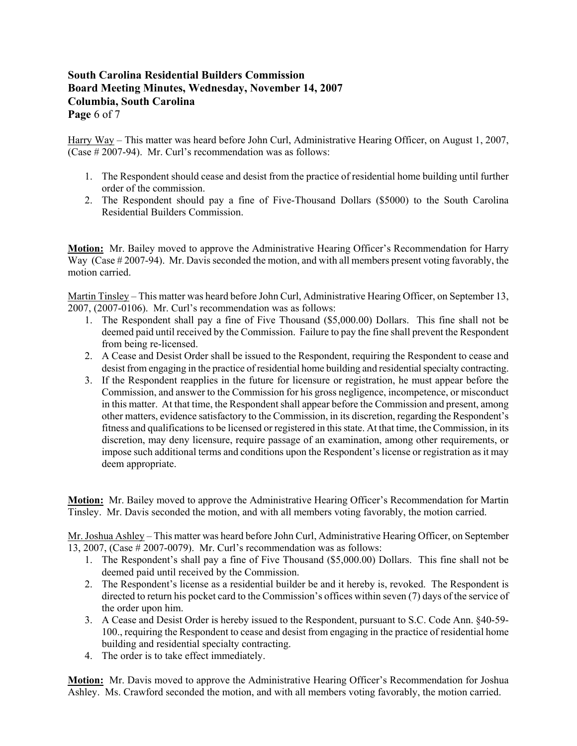# **South Carolina Residential Builders Commission Board Meeting Minutes, Wednesday, November 14, 2007 Columbia, South Carolina Page** 6 of 7

Harry Way – This matter was heard before John Curl, Administrative Hearing Officer, on August 1, 2007, (Case # 2007-94). Mr. Curl's recommendation was as follows:

- 1. The Respondent should cease and desist from the practice of residential home building until further order of the commission.
- 2. The Respondent should pay a fine of Five-Thousand Dollars (\$5000) to the South Carolina Residential Builders Commission.

**Motion:** Mr. Bailey moved to approve the Administrative Hearing Officer's Recommendation for Harry Way (Case  $\# 2007-94$ ). Mr. Davis seconded the motion, and with all members present voting favorably, the motion carried.

Martin Tinsley – This matter was heard before John Curl, Administrative Hearing Officer, on September 13, 2007, (2007-0106). Mr. Curl's recommendation was as follows:

- 1. The Respondent shall pay a fine of Five Thousand (\$5,000.00) Dollars. This fine shall not be deemed paid until received by the Commission. Failure to pay the fine shall prevent the Respondent from being re-licensed.
- 2. A Cease and Desist Order shall be issued to the Respondent, requiring the Respondent to cease and desist from engaging in the practice of residential home building and residential specialty contracting.
- 3. If the Respondent reapplies in the future for licensure or registration, he must appear before the Commission, and answer to the Commission for his gross negligence, incompetence, or misconduct in this matter. At that time, the Respondent shall appear before the Commission and present, among other matters, evidence satisfactory to the Commission, in its discretion, regarding the Respondent's fitness and qualifications to be licensed or registered in this state. At that time, the Commission, in its discretion, may deny licensure, require passage of an examination, among other requirements, or impose such additional terms and conditions upon the Respondent's license or registration as it may deem appropriate.

**Motion:** Mr. Bailey moved to approve the Administrative Hearing Officer's Recommendation for Martin Tinsley. Mr. Davis seconded the motion, and with all members voting favorably, the motion carried.

Mr. Joshua Ashley – This matter was heard before John Curl, Administrative Hearing Officer, on September 13, 2007, (Case # 2007-0079). Mr. Curl's recommendation was as follows:

- 1. The Respondent's shall pay a fine of Five Thousand (\$5,000.00) Dollars. This fine shall not be deemed paid until received by the Commission.
- 2. The Respondent's license as a residential builder be and it hereby is, revoked. The Respondent is directed to return his pocket card to the Commission's offices within seven (7) days of the service of the order upon him.
- 3. A Cease and Desist Order is hereby issued to the Respondent, pursuant to S.C. Code Ann. §40-59- 100., requiring the Respondent to cease and desist from engaging in the practice of residential home building and residential specialty contracting.
- 4. The order is to take effect immediately.

**Motion:** Mr. Davis moved to approve the Administrative Hearing Officer's Recommendation for Joshua Ashley. Ms. Crawford seconded the motion, and with all members voting favorably, the motion carried.